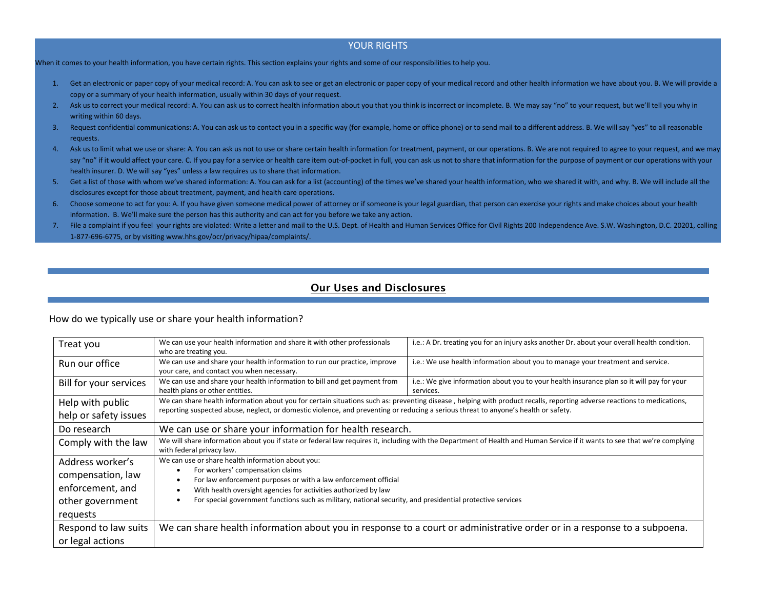#### YOUR RIGHTS

When it comes to your health information, you have certain rights. This section explains your rights and some of our responsibilities to help you.

- 1. Get an electronic or paper copy of your medical record: A. You can ask to see or get an electronic or paper copy of your medical record and other health information we have about you. B. We will provide a copy or a summary of your health information, usually within 30 days of your request.
- 2. Ask us to correct your medical record: A. You can ask us to correct health information about you that you think is incorrect or incomplete. B. We may say "no" to your request, but we'll tell you why in writing within 60 days.
- 3. Request confidential communications: A. You can ask us to contact you in a specific way (for example, home or office phone) or to send mail to a different address. B. We will say "yes" to all reasonable requests.
- 4. Ask us to limit what we use or share: A. You can ask us not to use or share certain health information for treatment, payment, or our operations. B. We are not required to agree to your request, and we may say "no" if it would affect your care. C. If you pay for a service or health care item out-of-pocket in full, you can ask us not to share that information for the purpose of payment or our operations with your health insurer. D. We will say "yes" unless a law requires us to share that information.
- 5. Get a list of those with whom we've shared information: A. You can ask for a list (accounting) of the times we've shared your health information, who we shared it with, and why. B. We will include all the disclosures except for those about treatment, payment, and health care operations.
- 6. Choose someone to act for you: A. If you have given someone medical power of attorney or if someone is your legal guardian, that person can exercise your rights and make choices about your health information. B. We'll make sure the person has this authority and can act for you before we take any action.
- 7. File a complaint if you feel your rights are violated: Write a letter and mail to the U.S. Dept. of Health and Human Services Office for Civil Rights 200 Independence Ave. S.W. Washington, D.C. 20201, calling 1-877-696-6775, or by visiting www.hhs.gov/ocr/privacy/hipaa/complaints/.

### **Our Uses and Disclosures**

How do we typically use or share your health information?

| Treat you              | We can use your health information and share it with other professionals<br>who are treating you.                                                                                                                                                                                                              | i.e.: A Dr. treating you for an injury asks another Dr. about your overall health condition.           |
|------------------------|----------------------------------------------------------------------------------------------------------------------------------------------------------------------------------------------------------------------------------------------------------------------------------------------------------------|--------------------------------------------------------------------------------------------------------|
| Run our office         | We can use and share your health information to run our practice, improve<br>your care, and contact you when necessary.                                                                                                                                                                                        | i.e.: We use health information about you to manage your treatment and service.                        |
| Bill for your services | We can use and share your health information to bill and get payment from<br>health plans or other entities.                                                                                                                                                                                                   | i.e.: We give information about you to your health insurance plan so it will pay for your<br>services. |
| Help with public       | We can share health information about you for certain situations such as: preventing disease, helping with product recalls, reporting adverse reactions to medications,<br>reporting suspected abuse, neglect, or domestic violence, and preventing or reducing a serious threat to anyone's health or safety. |                                                                                                        |
| help or safety issues  |                                                                                                                                                                                                                                                                                                                |                                                                                                        |
| Do research            | We can use or share your information for health research.                                                                                                                                                                                                                                                      |                                                                                                        |
| Comply with the law    | We will share information about you if state or federal law requires it, including with the Department of Health and Human Service if it wants to see that we're complying<br>with federal privacy law.                                                                                                        |                                                                                                        |
| Address worker's       | We can use or share health information about you:                                                                                                                                                                                                                                                              |                                                                                                        |
| compensation, law      | For workers' compensation claims<br>For law enforcement purposes or with a law enforcement official                                                                                                                                                                                                            |                                                                                                        |
| enforcement, and       | With health oversight agencies for activities authorized by law                                                                                                                                                                                                                                                |                                                                                                        |
| other government       | For special government functions such as military, national security, and presidential protective services                                                                                                                                                                                                     |                                                                                                        |
| requests               |                                                                                                                                                                                                                                                                                                                |                                                                                                        |
| Respond to law suits   | We can share health information about you in response to a court or administrative order or in a response to a subpoena.                                                                                                                                                                                       |                                                                                                        |
| or legal actions       |                                                                                                                                                                                                                                                                                                                |                                                                                                        |